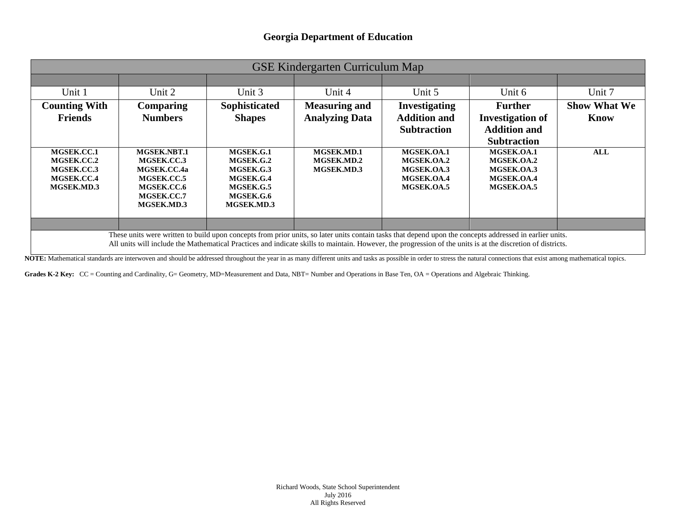| <b>GSE Kindergarten Curriculum Map</b>                                                                                                                   |                                                                                                  |                                                                                          |                                               |                                                                    |                                                                                        |                                    |
|----------------------------------------------------------------------------------------------------------------------------------------------------------|--------------------------------------------------------------------------------------------------|------------------------------------------------------------------------------------------|-----------------------------------------------|--------------------------------------------------------------------|----------------------------------------------------------------------------------------|------------------------------------|
|                                                                                                                                                          |                                                                                                  |                                                                                          |                                               |                                                                    |                                                                                        |                                    |
| Unit 1                                                                                                                                                   | Unit 2                                                                                           | Unit 3                                                                                   | Unit 4                                        | Unit 5                                                             | Unit 6                                                                                 | Unit 7                             |
| <b>Counting With</b><br><b>Friends</b>                                                                                                                   | <b>Comparing</b><br><b>Numbers</b>                                                               | Sophisticated<br><b>Shapes</b>                                                           | <b>Measuring and</b><br><b>Analyzing Data</b> | <b>Investigating</b><br><b>Addition and</b><br><b>Subtraction</b>  | <b>Further</b><br><b>Investigation of</b><br><b>Addition and</b><br><b>Subtraction</b> | <b>Show What We</b><br><b>Know</b> |
| MGSEK.CC.1<br>MGSEK.CC.2<br>MGSEK.CC.3<br>MGSEK.CC.4<br>MGSEK.MD.3                                                                                       | MGSEK.NBT.1<br>MGSEK.CC.3<br>MGSEK.CC.4a<br>MGSEK.CC.5<br>MGSEK.CC.6<br>MGSEK.CC.7<br>MGSEK.MD.3 | MGSEK.G.1<br>MGSEK.G.2<br>MGSEK.G.3<br>MGSEK.G.4<br>MGSEK.G.5<br>MGSEK.G.6<br>MGSEK.MD.3 | MGSEK.MD.1<br>MGSEK.MD.2<br>MGSEK.MD.3        | MGSEK.OA.1<br>MGSEK.OA.2<br>MGSEK.OA.3<br>MGSEK.OA.4<br>MGSEK.OA.5 | MGSEK.OA.1<br>MGSEK.OA.2<br>MGSEK.OA.3<br>MGSEK.OA.4<br>MGSEK.OA.5                     | ALL                                |
|                                                                                                                                                          |                                                                                                  |                                                                                          |                                               |                                                                    |                                                                                        |                                    |
| These units were written to build upon concepts from prior units, so later units contain tasks that depend upon the concepts addressed in earlier units. |                                                                                                  |                                                                                          |                                               |                                                                    |                                                                                        |                                    |

All units will include the Mathematical Practices and indicate skills to maintain. However, the progression of the units is at the discretion of districts.

NOTE: Mathematical standards are interwoven and should be addressed throughout the year in as many different units and tasks as possible in order to stress the natural connections that exist among mathematical topics.

Grades K-2 Key: CC = Counting and Cardinality, G= Geometry, MD=Measurement and Data, NBT= Number and Operations in Base Ten, OA = Operations and Algebraic Thinking.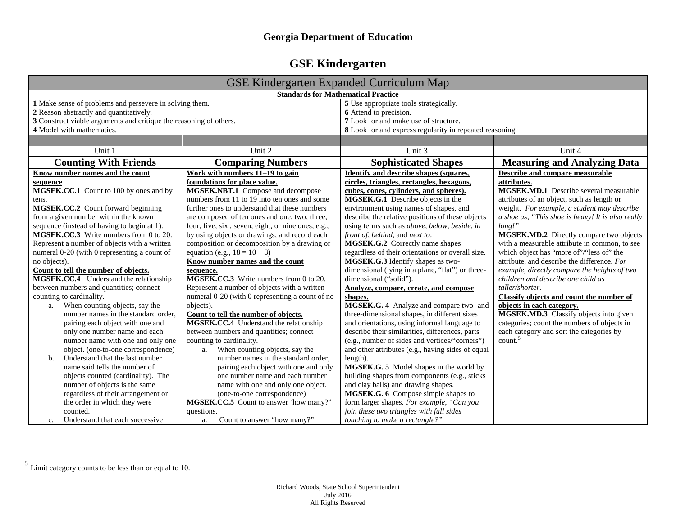## **GSE Kindergarten**

<span id="page-1-0"></span>

| <b>GSE Kindergarten Expanded Curriculum Map</b>                                                    |                                                    |                                                                  |                                                   |  |  |
|----------------------------------------------------------------------------------------------------|----------------------------------------------------|------------------------------------------------------------------|---------------------------------------------------|--|--|
| <b>Standards for Mathematical Practice</b>                                                         |                                                    |                                                                  |                                                   |  |  |
| 1 Make sense of problems and persevere in solving them.<br>2 Reason abstractly and quantitatively. |                                                    | 5 Use appropriate tools strategically.<br>6 Attend to precision. |                                                   |  |  |
| 3 Construct viable arguments and critique the reasoning of others.                                 |                                                    | 7 Look for and make use of structure.                            |                                                   |  |  |
| 4 Model with mathematics.                                                                          |                                                    | 8 Look for and express regularity in repeated reasoning.         |                                                   |  |  |
|                                                                                                    |                                                    |                                                                  |                                                   |  |  |
| Unit 1                                                                                             | Unit 2                                             | Unit 3                                                           | Unit 4                                            |  |  |
| <b>Counting With Friends</b>                                                                       | <b>Comparing Numbers</b>                           | <b>Sophisticated Shapes</b>                                      | <b>Measuring and Analyzing Data</b>               |  |  |
| Know number names and the count                                                                    | Work with numbers 11-19 to gain                    | <b>Identify and describe shapes (squares,</b>                    | Describe and compare measurable                   |  |  |
| sequence                                                                                           | foundations for place value.                       | circles, triangles, rectangles, hexagons,                        | attributes.                                       |  |  |
| MGSEK.CC.1 Count to 100 by ones and by                                                             | MGSEK.NBT.1 Compose and decompose                  | cubes, cones, cylinders, and spheres).                           | <b>MGSEK.MD.1</b> Describe several measurable     |  |  |
| tens.                                                                                              | numbers from 11 to 19 into ten ones and some       | MGSEK.G.1 Describe objects in the                                | attributes of an object, such as length or        |  |  |
| MGSEK.CC.2 Count forward beginning                                                                 | further ones to understand that these numbers      | environment using names of shapes, and                           | weight. For example, a student may describe       |  |  |
| from a given number within the known                                                               | are composed of ten ones and one, two, three,      | describe the relative positions of these objects                 | a shoe as, "This shoe is heavy! It is also really |  |  |
| sequence (instead of having to begin at 1).                                                        | four, five, six, seven, eight, or nine ones, e.g., | using terms such as above, below, beside, in                     | long!                                             |  |  |
| MGSEK.CC.3 Write numbers from 0 to 20.                                                             | by using objects or drawings, and record each      | front of, behind, and next to.                                   | MGSEK.MD.2 Directly compare two objects           |  |  |
| Represent a number of objects with a written                                                       | composition or decomposition by a drawing or       | MGSEK.G.2 Correctly name shapes                                  | with a measurable attribute in common, to see     |  |  |
| numeral 0-20 (with 0 representing a count of                                                       | equation (e.g., $18 = 10 + 8$ )                    | regardless of their orientations or overall size.                | which object has "more of"/"less of" the          |  |  |
| no objects).                                                                                       | Know number names and the count                    | MGSEK.G.3 Identify shapes as two-                                | attribute, and describe the difference. For       |  |  |
| Count to tell the number of objects.                                                               | sequence.                                          | dimensional (lying in a plane, "flat") or three-                 | example, directly compare the heights of two      |  |  |
| MGSEK.CC.4 Understand the relationship                                                             | MGSEK.CC.3 Write numbers from 0 to 20.             | dimensional ("solid").                                           | children and describe one child as                |  |  |
| between numbers and quantities; connect                                                            | Represent a number of objects with a written       | Analyze, compare, create, and compose                            | taller/shorter.                                   |  |  |
| counting to cardinality.                                                                           | numeral 0-20 (with 0 representing a count of no    | shapes.                                                          | Classify objects and count the number of          |  |  |
| When counting objects, say the<br>a.                                                               | objects).                                          | MGSEK.G. 4 Analyze and compare two- and                          | objects in each category.                         |  |  |
| number names in the standard order.                                                                | Count to tell the number of objects.               | three-dimensional shapes, in different sizes                     | MGSEK.MD.3 Classify objects into given            |  |  |
| pairing each object with one and                                                                   | MGSEK.CC.4 Understand the relationship             | and orientations, using informal language to                     | categories; count the numbers of objects in       |  |  |
| only one number name and each                                                                      | between numbers and quantities; connect            | describe their similarities, differences, parts                  | each category and sort the categories by          |  |  |
| number name with one and only one                                                                  | counting to cardinality.                           | (e.g., number of sides and vertices/"corners")                   | count. <sup>5</sup>                               |  |  |
| object. (one-to-one correspondence)                                                                | When counting objects, say the<br>a.               | and other attributes (e.g., having sides of equal                |                                                   |  |  |
| Understand that the last number<br>b.                                                              | number names in the standard order,                | length).                                                         |                                                   |  |  |
| name said tells the number of                                                                      | pairing each object with one and only              | MGSEK.G. 5 Model shapes in the world by                          |                                                   |  |  |
| objects counted (cardinality). The                                                                 | one number name and each number                    | building shapes from components (e.g., sticks                    |                                                   |  |  |
| number of objects is the same                                                                      | name with one and only one object.                 | and clay balls) and drawing shapes.                              |                                                   |  |  |
| regardless of their arrangement or                                                                 | (one-to-one correspondence)                        | MGSEK.G. 6 Compose simple shapes to                              |                                                   |  |  |
| the order in which they were                                                                       | MGSEK.CC.5 Count to answer 'how many?"             | form larger shapes. For example, "Can you                        |                                                   |  |  |
| counted.                                                                                           | questions.                                         | join these two triangles with full sides                         |                                                   |  |  |
| Understand that each successive<br>$C_{\star}$                                                     | Count to answer "how many?"<br>a.                  | touching to make a rectangle?"                                   |                                                   |  |  |

 $<sup>5</sup>$  Limit category counts to be less than or equal to 10.</sup>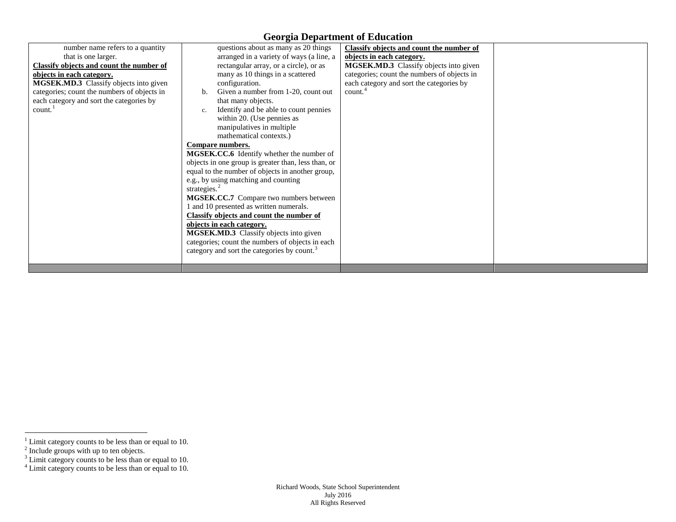## **Georgia Department of Education**

<span id="page-2-0"></span>

| number name refers to a quantity            | questions about as many as 20 things                    | Classify objects and count the number of    |  |
|---------------------------------------------|---------------------------------------------------------|---------------------------------------------|--|
| that is one larger.                         | arranged in a variety of ways (a line, a                | objects in each category.                   |  |
| Classify objects and count the number of    | rectangular array, or a circle), or as                  | MGSEK.MD.3 Classify objects into given      |  |
| objects in each category.                   | many as 10 things in a scattered                        | categories; count the numbers of objects in |  |
| MGSEK.MD.3 Classify objects into given      | configuration.                                          | each category and sort the categories by    |  |
| categories; count the numbers of objects in | Given a number from 1-20, count out                     | count. <sup>4</sup>                         |  |
| each category and sort the categories by    | that many objects.                                      |                                             |  |
| count. <sup>1</sup>                         | Identify and be able to count pennies<br>c.             |                                             |  |
|                                             | within 20. (Use pennies as                              |                                             |  |
|                                             | manipulatives in multiple                               |                                             |  |
|                                             | mathematical contexts.)                                 |                                             |  |
|                                             | Compare numbers.                                        |                                             |  |
|                                             |                                                         |                                             |  |
|                                             | MGSEK.CC.6 Identify whether the number of               |                                             |  |
|                                             | objects in one group is greater than, less than, or     |                                             |  |
|                                             | equal to the number of objects in another group,        |                                             |  |
|                                             | e.g., by using matching and counting                    |                                             |  |
|                                             | strategies. $2$                                         |                                             |  |
|                                             | <b>MGSEK.CC.7</b> Compare two numbers between           |                                             |  |
|                                             | 1 and 10 presented as written numerals.                 |                                             |  |
|                                             | Classify objects and count the number of                |                                             |  |
|                                             | objects in each category.                               |                                             |  |
|                                             | MGSEK.MD.3 Classify objects into given                  |                                             |  |
|                                             | categories; count the numbers of objects in each        |                                             |  |
|                                             | category and sort the categories by count. <sup>3</sup> |                                             |  |
|                                             |                                                         |                                             |  |
|                                             |                                                         |                                             |  |

 $\frac{1}{1}$  Limit category counts to be less than or equal to 10.

 $2$  Include groups with up to ten objects.

<sup>&</sup>lt;sup>3</sup> Limit category counts to be less than or equal to 10.

 $4$  Limit category counts to be less than or equal to 10.